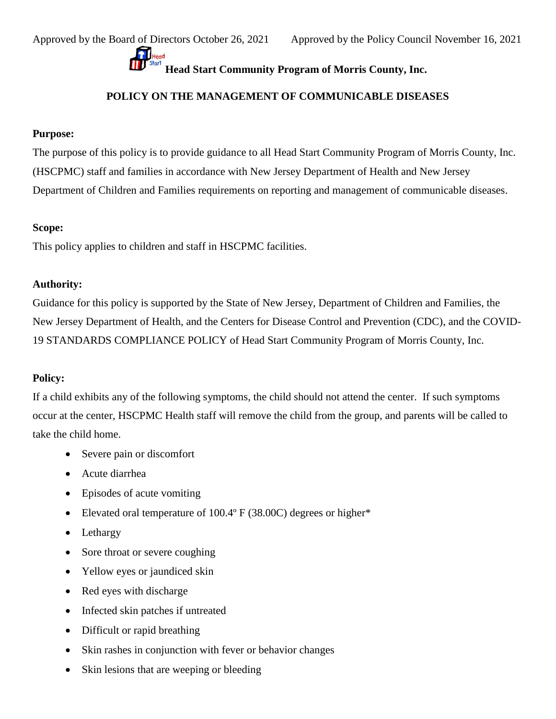## **Head Start Community Program of Morris County, Inc.**<br>**Head Start Community Program of Morris County, Inc.**

## **POLICY ON THE MANAGEMENT OF COMMUNICABLE DISEASES**

## **Purpose:**

The purpose of this policy is to provide guidance to all Head Start Community Program of Morris County, Inc. (HSCPMC) staff and families in accordance with New Jersey Department of Health and New Jersey Department of Children and Families requirements on reporting and management of communicable diseases.

### **Scope:**

This policy applies to children and staff in HSCPMC facilities.

## **Authority:**

Guidance for this policy is supported by the State of New Jersey, Department of Children and Families, the New Jersey Department of Health, and the Centers for Disease Control and Prevention (CDC), and the COVID-19 STANDARDS COMPLIANCE POLICY of Head Start Community Program of Morris County, Inc.

## **Policy:**

If a child exhibits any of the following symptoms, the child should not attend the center. If such symptoms occur at the center, HSCPMC Health staff will remove the child from the group, and parents will be called to take the child home.

- Severe pain or discomfort
- Acute diarrhea
- Episodes of acute vomiting
- Elevated oral temperature of 100.4° F (38.00C) degrees or higher\*
- Lethargy
- Sore throat or severe coughing
- Yellow eyes or jaundiced skin
- Red eyes with discharge
- Infected skin patches if untreated
- Difficult or rapid breathing
- Skin rashes in conjunction with fever or behavior changes
- Skin lesions that are weeping or bleeding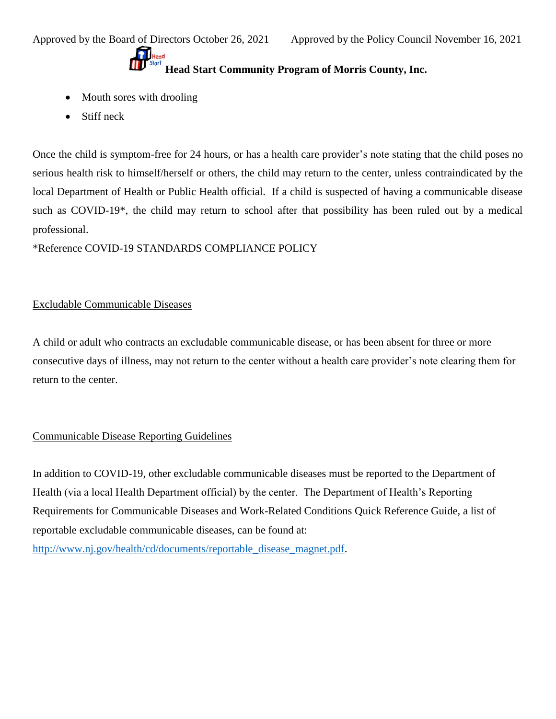# **Head Start Community Program of Morris County, Inc.**<br>Head Start Community Program of Morris County, Inc.

- Mouth sores with drooling
- Stiff neck

Once the child is symptom-free for 24 hours, or has a health care provider's note stating that the child poses no serious health risk to himself/herself or others, the child may return to the center, unless contraindicated by the local Department of Health or Public Health official. If a child is suspected of having a communicable disease such as COVID-19\*, the child may return to school after that possibility has been ruled out by a medical professional.

\*Reference COVID-19 STANDARDS COMPLIANCE POLICY

## Excludable Communicable Diseases

A child or adult who contracts an excludable communicable disease, or has been absent for three or more consecutive days of illness, may not return to the center without a health care provider's note clearing them for return to the center.

## Communicable Disease Reporting Guidelines

In addition to COVID-19, other excludable communicable diseases must be reported to the Department of Health (via a local Health Department official) by the center. The Department of Health's Reporting Requirements for Communicable Diseases and Work-Related Conditions Quick Reference Guide, a list of reportable excludable communicable diseases, can be found at: [http://www.nj.gov/health/cd/documents/reportable\\_disease\\_magnet.pdf.](http://www.nj.gov/health/cd/documents/reportable_disease_magnet.pdf)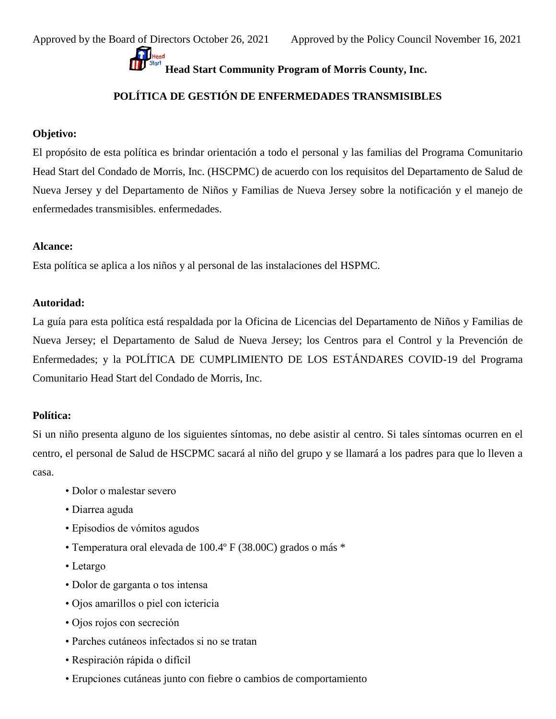## **Head Start Community Program of Morris County, Inc.**

## **POLÍTICA DE GESTIÓN DE ENFERMEDADES TRANSMISIBLES**

## **Objetivo:**

El propósito de esta política es brindar orientación a todo el personal y las familias del Programa Comunitario Head Start del Condado de Morris, Inc. (HSCPMC) de acuerdo con los requisitos del Departamento de Salud de Nueva Jersey y del Departamento de Niños y Familias de Nueva Jersey sobre la notificación y el manejo de enfermedades transmisibles. enfermedades.

### **Alcance:**

Esta política se aplica a los niños y al personal de las instalaciones del HSPMC.

### **Autoridad:**

La guía para esta política está respaldada por la Oficina de Licencias del Departamento de Niños y Familias de Nueva Jersey; el Departamento de Salud de Nueva Jersey; los Centros para el Control y la Prevención de Enfermedades; y la POLÍTICA DE CUMPLIMIENTO DE LOS ESTÁNDARES COVID-19 del Programa Comunitario Head Start del Condado de Morris, Inc.

## **Política:**

Si un niño presenta alguno de los siguientes síntomas, no debe asistir al centro. Si tales síntomas ocurren en el centro, el personal de Salud de HSCPMC sacará al niño del grupo y se llamará a los padres para que lo lleven a casa.

- Dolor o malestar severo
- Diarrea aguda
- Episodios de vómitos agudos
- Temperatura oral elevada de 100.4º F (38.00C) grados o más \*
- Letargo
- Dolor de garganta o tos intensa
- Ojos amarillos o piel con ictericia
- Ojos rojos con secreción
- Parches cutáneos infectados si no se tratan
- Respiración rápida o difícil
- Erupciones cutáneas junto con fiebre o cambios de comportamiento